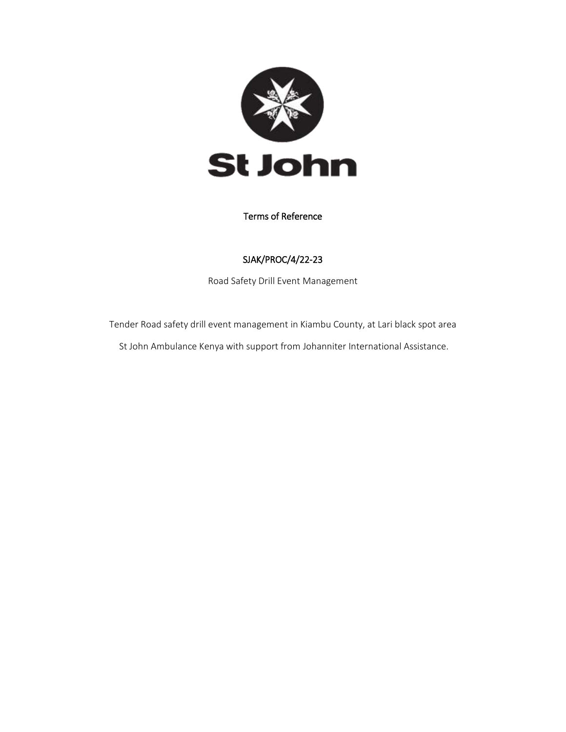

#### Terms of Reference

## SJAK/PROC/4/22-23

Road Safety Drill Event Management

Tender Road safety drill event management in Kiambu County, at Lari black spot area St John Ambulance Kenya with support from Johanniter International Assistance.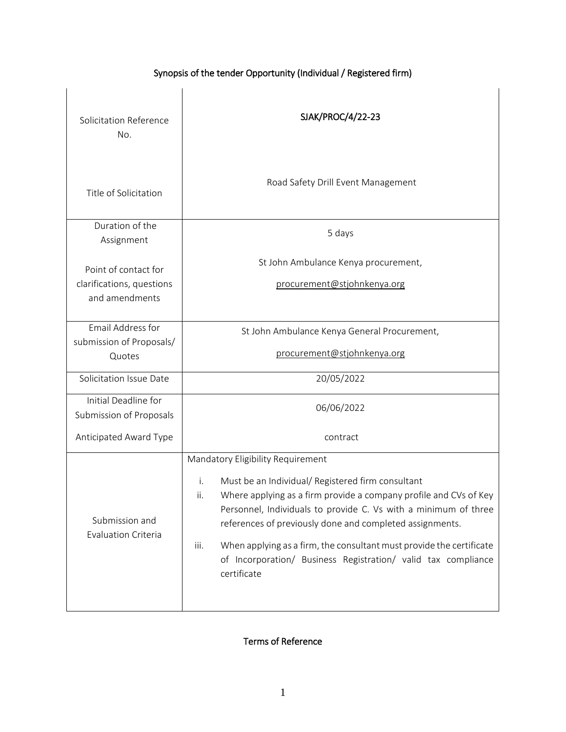# Synopsis of the tender Opportunity (Individual / Registered firm)

| Solicitation Reference<br>No.                                       | SJAK/PROC/4/22-23                                                                                                                                                                                                                                                                                                                                                                                                                                                       |  |
|---------------------------------------------------------------------|-------------------------------------------------------------------------------------------------------------------------------------------------------------------------------------------------------------------------------------------------------------------------------------------------------------------------------------------------------------------------------------------------------------------------------------------------------------------------|--|
| Title of Solicitation                                               | Road Safety Drill Event Management                                                                                                                                                                                                                                                                                                                                                                                                                                      |  |
| Duration of the<br>Assignment                                       | 5 days                                                                                                                                                                                                                                                                                                                                                                                                                                                                  |  |
| Point of contact for<br>clarifications, questions<br>and amendments | St John Ambulance Kenya procurement,<br>procurement@stjohnkenya.org                                                                                                                                                                                                                                                                                                                                                                                                     |  |
| Email Address for<br>submission of Proposals/<br>Quotes             | St John Ambulance Kenya General Procurement,<br>procurement@stjohnkenya.org                                                                                                                                                                                                                                                                                                                                                                                             |  |
| Solicitation Issue Date                                             | 20/05/2022                                                                                                                                                                                                                                                                                                                                                                                                                                                              |  |
| Initial Deadline for<br>Submission of Proposals                     | 06/06/2022                                                                                                                                                                                                                                                                                                                                                                                                                                                              |  |
| Anticipated Award Type                                              | contract                                                                                                                                                                                                                                                                                                                                                                                                                                                                |  |
| Submission and<br>Evaluation Criteria                               | Mandatory Eligibility Requirement<br>i.<br>Must be an Individual/ Registered firm consultant<br>Where applying as a firm provide a company profile and CVs of Key<br>ii.<br>Personnel, Individuals to provide C. Vs with a minimum of three<br>references of previously done and completed assignments.<br>When applying as a firm, the consultant must provide the certificate<br>iii.<br>of Incorporation/ Business Registration/ valid tax compliance<br>certificate |  |

# Terms of Reference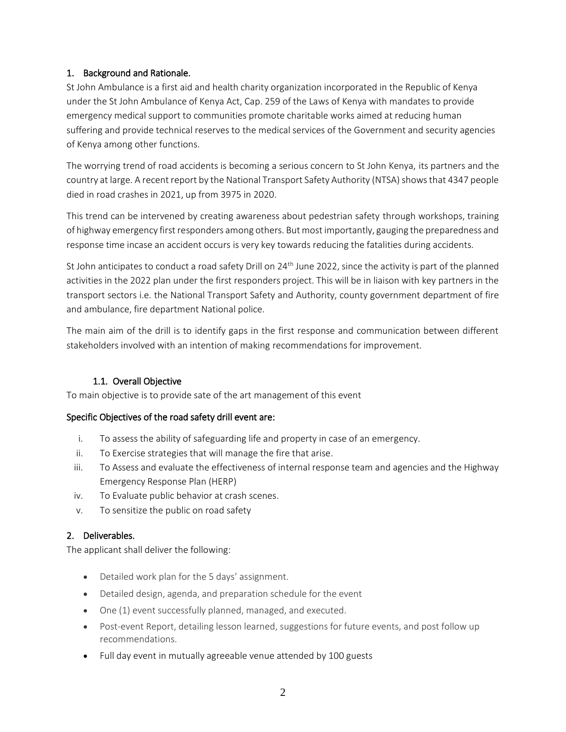## 1. Background and Rationale.

St John Ambulance is a first aid and health charity organization incorporated in the Republic of Kenya under the St John Ambulance of Kenya Act, Cap. 259 of the Laws of Kenya with mandates to provide emergency medical support to communities promote charitable works aimed at reducing human suffering and provide technical reserves to the medical services of the Government and security agencies of Kenya among other functions.

The worrying trend of road accidents is becoming a serious concern to St John Kenya, its partners and the country at large. A recent report by the National Transport Safety Authority (NTSA) shows that 4347 people died in road crashes in 2021, up from 3975 in 2020.

This trend can be intervened by creating awareness about pedestrian safety through workshops, training of highway emergency first responders among others. But most importantly, gauging the preparedness and response time incase an accident occurs is very key towards reducing the fatalities during accidents.

St John anticipates to conduct a road safety Drill on 24<sup>th</sup> June 2022, since the activity is part of the planned activities in the 2022 plan under the first responders project. This will be in liaison with key partners in the transport sectors i.e. the National Transport Safety and Authority, county government department of fire and ambulance, fire department National police.

The main aim of the drill is to identify gaps in the first response and communication between different stakeholders involved with an intention of making recommendations for improvement.

## 1.1. Overall Objective

To main objective is to provide sate of the art management of this event

## Specific Objectives of the road safety drill event are:

- i. To assess the ability of safeguarding life and property in case of an emergency.
- ii. To Exercise strategies that will manage the fire that arise.
- iii. To Assess and evaluate the effectiveness of internal response team and agencies and the Highway Emergency Response Plan (HERP)
- iv. To Evaluate public behavior at crash scenes.
- v. To sensitize the public on road safety

## 2. Deliverables.

The applicant shall deliver the following:

- Detailed work plan for the 5 days' assignment.
- Detailed design, agenda, and preparation schedule for the event
- One (1) event successfully planned, managed, and executed.
- Post-event Report, detailing lesson learned, suggestions for future events, and post follow up recommendations.
- Full day event in mutually agreeable venue attended by 100 guests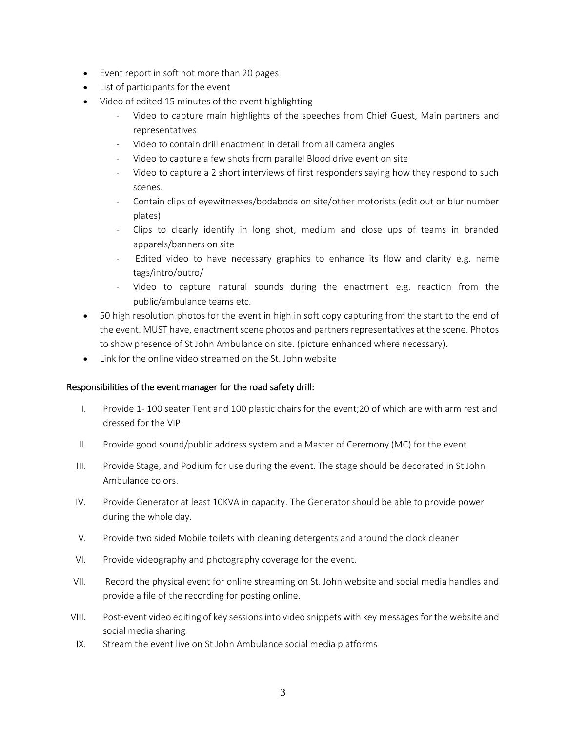- Event report in soft not more than 20 pages
- List of participants for the event
- Video of edited 15 minutes of the event highlighting
	- Video to capture main highlights of the speeches from Chief Guest, Main partners and representatives
	- Video to contain drill enactment in detail from all camera angles
	- Video to capture a few shots from parallel Blood drive event on site
	- Video to capture a 2 short interviews of first responders saying how they respond to such scenes.
	- Contain clips of eyewitnesses/bodaboda on site/other motorists (edit out or blur number plates)
	- Clips to clearly identify in long shot, medium and close ups of teams in branded apparels/banners on site
	- Edited video to have necessary graphics to enhance its flow and clarity e.g. name tags/intro/outro/
	- Video to capture natural sounds during the enactment e.g. reaction from the public/ambulance teams etc.
- 50 high resolution photos for the event in high in soft copy capturing from the start to the end of the event. MUST have, enactment scene photos and partners representatives at the scene. Photos to show presence of St John Ambulance on site. (picture enhanced where necessary).
- Link for the online video streamed on the St. John website

#### Responsibilities of the event manager for the road safety drill:

- I. Provide 1- 100 seater Tent and 100 plastic chairs for the event;20 of which are with arm rest and dressed for the VIP
- II. Provide good sound/public address system and a Master of Ceremony (MC) for the event.
- III. Provide Stage, and Podium for use during the event. The stage should be decorated in St John Ambulance colors.
- IV. Provide Generator at least 10KVA in capacity. The Generator should be able to provide power during the whole day.
- V. Provide two sided Mobile toilets with cleaning detergents and around the clock cleaner
- VI. Provide videography and photography coverage for the event.
- VII. Record the physical event for online streaming on St. John website and social media handles and provide a file of the recording for posting online.
- VIII. Post-event video editing of key sessions into video snippets with key messages for the website and social media sharing
	- IX. Stream the event live on St John Ambulance social media platforms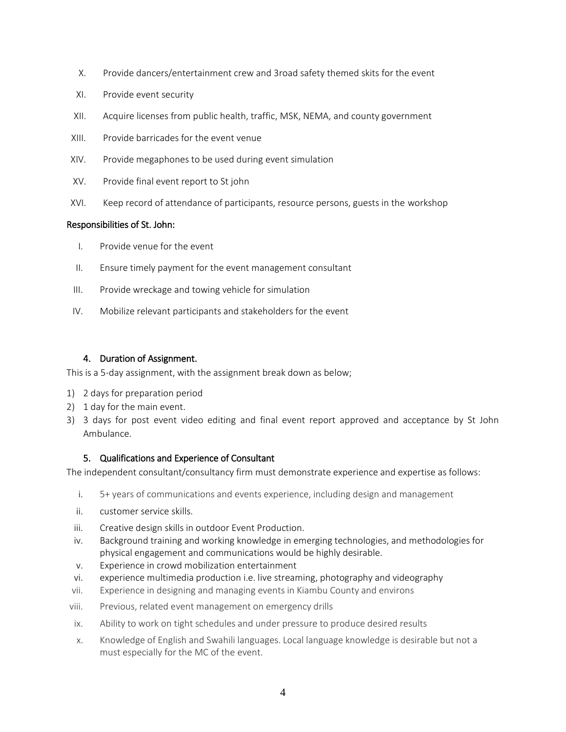- X. Provide dancers/entertainment crew and 3road safety themed skits for the event
- XI. Provide event security
- XII. Acquire licenses from public health, traffic, MSK, NEMA, and county government
- XIII. Provide barricades for the event venue
- XIV. Provide megaphones to be used during event simulation
- XV. Provide final event report to St john
- XVI. Keep record of attendance of participants, resource persons, guests in the workshop

#### Responsibilities of St. John:

- I. Provide venue for the event
- II. Ensure timely payment for the event management consultant
- III. Provide wreckage and towing vehicle for simulation
- IV. Mobilize relevant participants and stakeholders for the event

## 4. Duration of Assignment.

This is a 5-day assignment, with the assignment break down as below;

- 1) 2 days for preparation period
- 2) 1 day for the main event.
- 3) 3 days for post event video editing and final event report approved and acceptance by St John Ambulance.

## 5. Qualifications and Experience of Consultant

The independent consultant/consultancy firm must demonstrate experience and expertise as follows:

- i. 5+ years of communications and events experience, including design and management
- ii. customer service skills.
- iii. Creative design skills in outdoor Event Production.
- iv. Background training and working knowledge in emerging technologies, and methodologies for physical engagement and communications would be highly desirable.
- v. Experience in crowd mobilization entertainment
- vi. experience multimedia production i.e. live streaming, photography and videography
- vii. Experience in designing and managing events in Kiambu County and environs
- viii. Previous, related event management on emergency drills
- ix. Ability to work on tight schedules and under pressure to produce desired results
- x. Knowledge of English and Swahili languages. Local language knowledge is desirable but not a must especially for the MC of the event.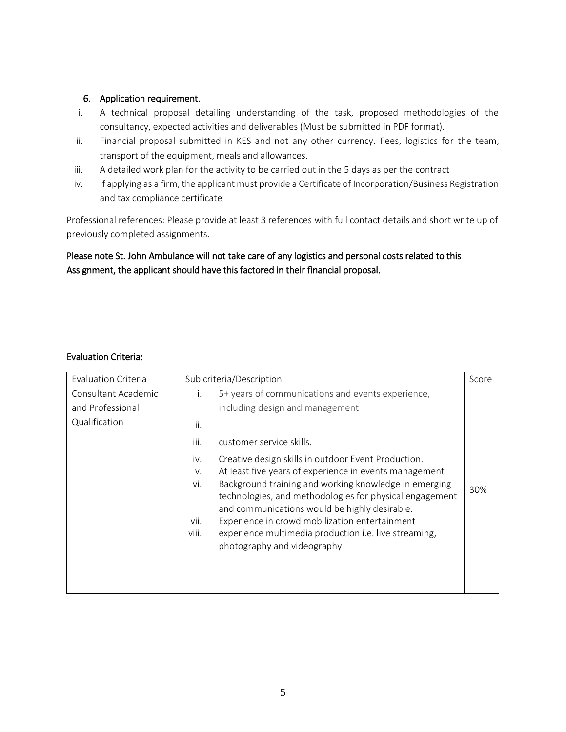## 6. Application requirement.

- i. A technical proposal detailing understanding of the task, proposed methodologies of the consultancy, expected activities and deliverables (Must be submitted in PDF format).
- ii. Financial proposal submitted in KES and not any other currency. Fees, logistics for the team, transport of the equipment, meals and allowances.
- iii. A detailed work plan for the activity to be carried out in the 5 days as per the contract
- iv. If applying as a firm, the applicant must provide a Certificate of Incorporation/Business Registration and tax compliance certificate

Professional references: Please provide at least 3 references with full contact details and short write up of previously completed assignments.

## Please note St. John Ambulance will not take care of any logistics and personal costs related to this Assignment, the applicant should have this factored in their financial proposal.

## Evaluation Criteria:

| <b>Evaluation Criteria</b>                               | Sub criteria/Description                                                                                                                                                                                                                                                                                                                                                                                                                                                                                                                                                                                                    |              |  |
|----------------------------------------------------------|-----------------------------------------------------------------------------------------------------------------------------------------------------------------------------------------------------------------------------------------------------------------------------------------------------------------------------------------------------------------------------------------------------------------------------------------------------------------------------------------------------------------------------------------------------------------------------------------------------------------------------|--------------|--|
| Consultant Academic<br>and Professional<br>Qualification | 5+ years of communications and events experience,<br>$\mathbf{L}$<br>including design and management<br>ii.<br>iii.<br>customer service skills.<br>Creative design skills in outdoor Event Production.<br>iv.<br>At least five years of experience in events management<br>V.<br>Background training and working knowledge in emerging<br>vi.<br>technologies, and methodologies for physical engagement<br>and communications would be highly desirable.<br>Experience in crowd mobilization entertainment<br>vii.<br>viii.<br>experience multimedia production <i>i.e.</i> live streaming,<br>photography and videography | Score<br>30% |  |
|                                                          |                                                                                                                                                                                                                                                                                                                                                                                                                                                                                                                                                                                                                             |              |  |